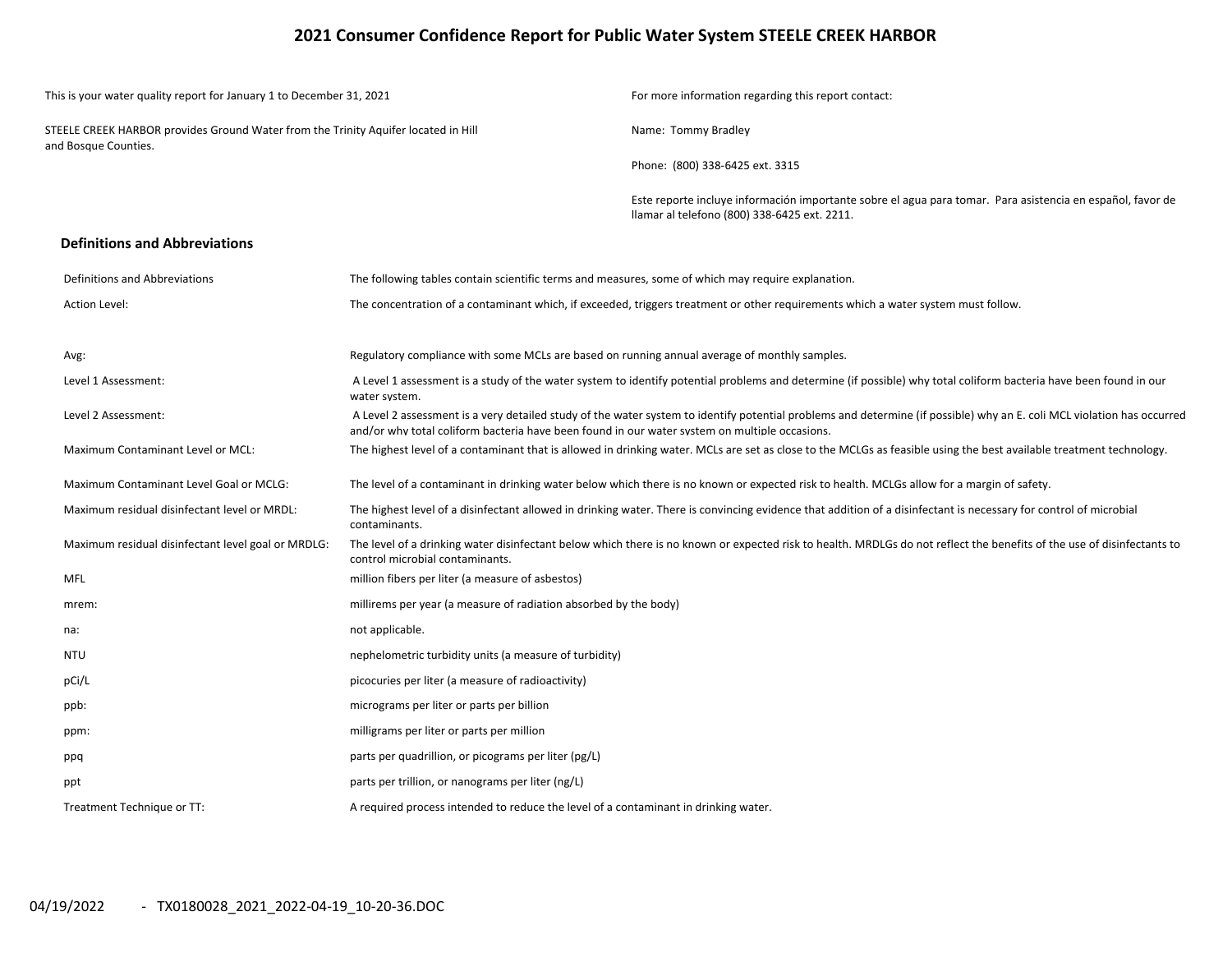## **2021 Consumer Confidence Report for Public Water System STEELE CREEK HARBOR**

| This is your water quality report for January 1 to December 31, 2021                                       |                                                                                                    | For more information regarding this report contact:                                                                                                                    |
|------------------------------------------------------------------------------------------------------------|----------------------------------------------------------------------------------------------------|------------------------------------------------------------------------------------------------------------------------------------------------------------------------|
| STEELE CREEK HARBOR provides Ground Water from the Trinity Aquifer located in Hill<br>and Bosque Counties. |                                                                                                    | Name: Tommy Bradley                                                                                                                                                    |
|                                                                                                            |                                                                                                    | Phone: (800) 338-6425 ext. 3315                                                                                                                                        |
|                                                                                                            |                                                                                                    | Este reporte incluye información importante sobre el agua para tomar. Para asistencia en español, favor de<br>llamar al telefono (800) 338-6425 ext. 2211.             |
| <b>Definitions and Abbreviations</b>                                                                       |                                                                                                    |                                                                                                                                                                        |
| Definitions and Abbreviations                                                                              | The following tables contain scientific terms and measures, some of which may require explanation. |                                                                                                                                                                        |
| Action Level:                                                                                              |                                                                                                    | The concentration of a contaminant which, if exceeded, triggers treatment or other requirements which a water system must follow.                                      |
| Avg:                                                                                                       | Regulatory compliance with some MCLs are based on running annual average of monthly samples.       |                                                                                                                                                                        |
| Level 1 Assessment:                                                                                        | water system.                                                                                      | A Level 1 assessment is a study of the water system to identify potential problems and determine (if possible) why total coliform bacteria have been found in our      |
| Level 2 Assessment:                                                                                        | and/or why total coliform bacteria have been found in our water system on multiple occasions.      | A Level 2 assessment is a very detailed study of the water system to identify potential problems and determine (if possible) why an E. coli MCL violation has occurred |
| Maximum Contaminant Level or MCL:                                                                          |                                                                                                    | The highest level of a contaminant that is allowed in drinking water. MCLs are set as close to the MCLGs as feasible using the best available treatment technology.    |
| Maximum Contaminant Level Goal or MCLG:                                                                    |                                                                                                    | The level of a contaminant in drinking water below which there is no known or expected risk to health. MCLGs allow for a margin of safety.                             |
| Maximum residual disinfectant level or MRDL:                                                               | contaminants.                                                                                      | The highest level of a disinfectant allowed in drinking water. There is convincing evidence that addition of a disinfectant is necessary for control of microbial      |
| Maximum residual disinfectant level goal or MRDLG:                                                         | control microbial contaminants.                                                                    | The level of a drinking water disinfectant below which there is no known or expected risk to health. MRDLGs do not reflect the benefits of the use of disinfectants to |
| <b>MFL</b>                                                                                                 | million fibers per liter (a measure of asbestos)                                                   |                                                                                                                                                                        |
| mrem:                                                                                                      | millirems per year (a measure of radiation absorbed by the body)                                   |                                                                                                                                                                        |
| na:                                                                                                        | not applicable.                                                                                    |                                                                                                                                                                        |
| <b>NTU</b>                                                                                                 | nephelometric turbidity units (a measure of turbidity)                                             |                                                                                                                                                                        |
| pCi/L                                                                                                      | picocuries per liter (a measure of radioactivity)                                                  |                                                                                                                                                                        |
| ppb:                                                                                                       | micrograms per liter or parts per billion                                                          |                                                                                                                                                                        |
| ppm:                                                                                                       | milligrams per liter or parts per million                                                          |                                                                                                                                                                        |
| ppq                                                                                                        | parts per quadrillion, or picograms per liter (pg/L)                                               |                                                                                                                                                                        |
| ppt                                                                                                        | parts per trillion, or nanograms per liter (ng/L)                                                  |                                                                                                                                                                        |
| Treatment Technique or TT:                                                                                 | A required process intended to reduce the level of a contaminant in drinking water.                |                                                                                                                                                                        |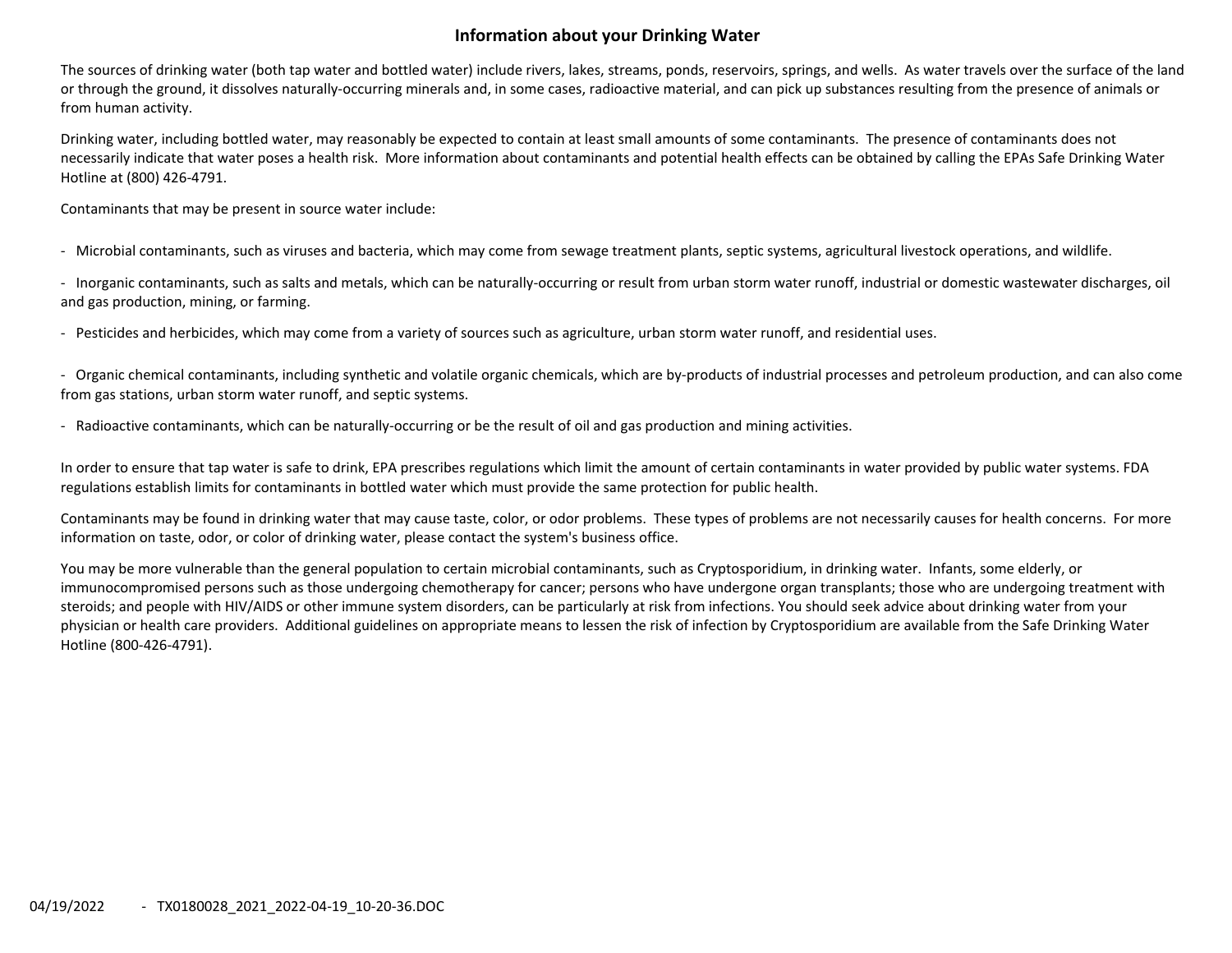## **Information about your Drinking Water**

The sources of drinking water (both tap water and bottled water) include rivers, lakes, streams, ponds, reservoirs, springs, and wells. As water travels over the surface of the land or through the ground, it dissolves naturally‐occurring minerals and, in some cases, radioactive material, and can pick up substances resulting from the presence of animals or from human activity.

Drinking water, including bottled water, may reasonably be expected to contain at least small amounts of some contaminants. The presence of contaminants does not necessarily indicate that water poses <sup>a</sup> health risk. More information about contaminants and potential health effects can be obtained by calling the EPAs Safe Drinking Water Hotline at (800) 426‐4791.

Contaminants that may be present in source water include:

‐ Microbial contaminants, such as viruses and bacteria, which may come from sewage treatment plants, septic systems, agricultural livestock operations, and wildlife.

‐ Inorganic contaminants, such as salts and metals, which can be naturally‐occurring or result from urban storm water runoff, industrial or domestic wastewater discharges, oil and gas production, mining, or farming.

‐ Pesticides and herbicides, which may come from <sup>a</sup> variety of sources such as agriculture, urban storm water runoff, and residential uses.

‐ Organic chemical contaminants, including synthetic and volatile organic chemicals, which are by‐products of industrial processes and petroleum production, and can also come from gas stations, urban storm water runoff, and septic systems.

‐ Radioactive contaminants, which can be naturally‐occurring or be the result of oil and gas production and mining activities.

In order to ensure that tap water is safe to drink, EPA prescribes regulations which limit the amount of certain contaminants in water provided by public water systems. FDA regulations establish limits for contaminants in bottled water which must provide the same protection for public health.

Contaminants may be found in drinking water that may cause taste, color, or odor problems. These types of problems are not necessarily causes for health concerns. For more information on taste, odor, or color of drinking water, please contact the system's business office.

You may be more vulnerable than the general population to certain microbial contaminants, such as Cryptosporidium, in drinking water. Infants, some elderly, or immunocompromised persons such as those undergoing chemotherapy for cancer; persons who have undergone organ transplants; those who are undergoing treatment with steroids; and people with HIV/AIDS or other immune system disorders, can be particularly at risk from infections. You should seek advice about drinking water from your physician or health care providers. Additional guidelines on appropriate means to lessen the risk of infection by Cryptosporidium are available from the Safe Drinking Water Hotline (800‐426‐4791).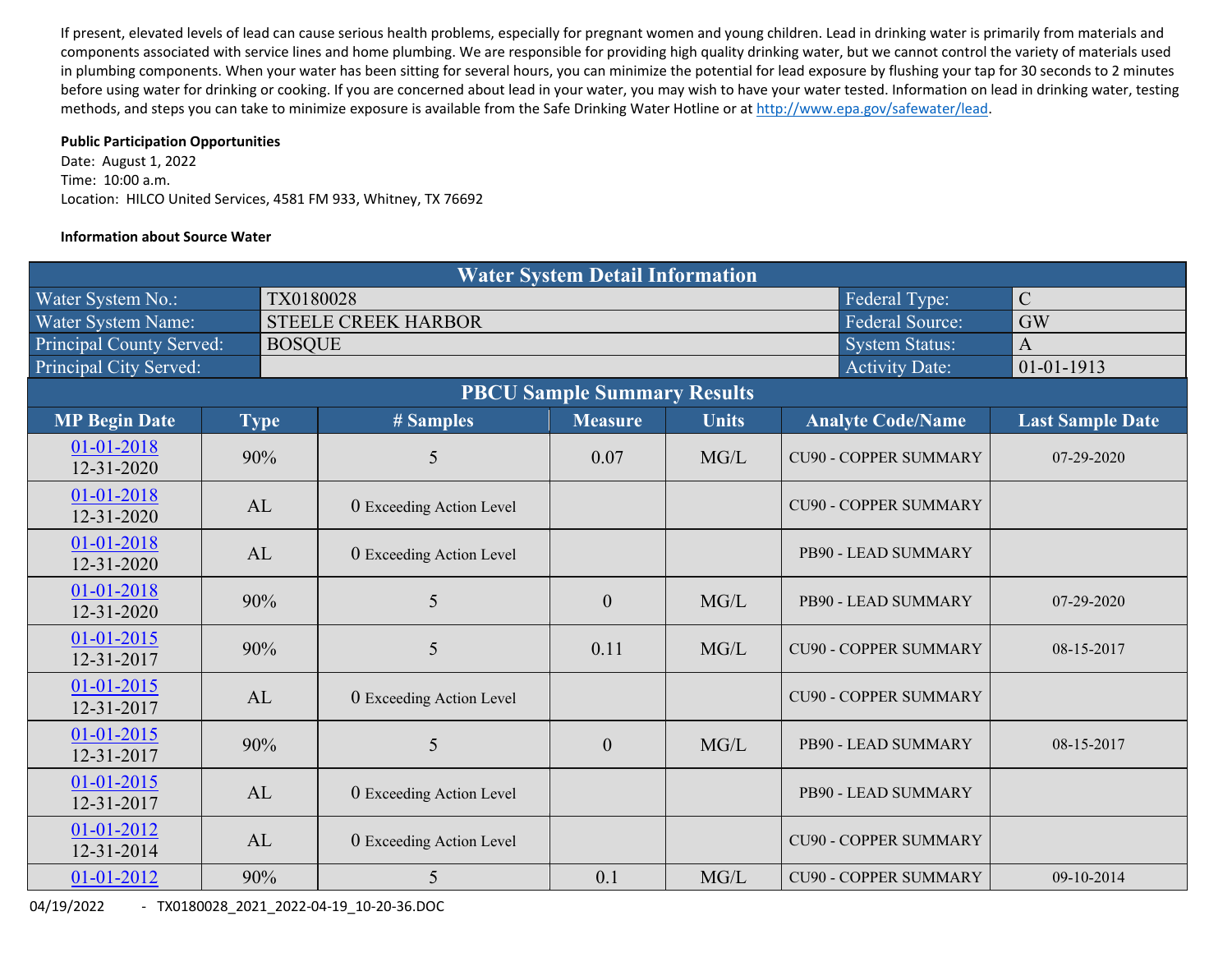If present, elevated levels of lead can cause serious health problems, especially for pregnant women and young children. Lead in drinking water is primarily from materials and components associated with service lines and home plumbing. We are responsible for providing high quality drinking water, but we cannot control the variety of materials used in plumbing components. When your water has been sitting for several hours, you can minimize the potential for lead exposure by flushing your tap for 30 seconds to 2 minutes before using water for drinking or cooking. If you are concerned about lead in your water, you may wish to have your water tested. Information on lead in drinking water, testing methods, and steps you can take to minimize exposure is available from the Safe Drinking Water Hotline or at http://www.epa.gov/safewater/lead.

### **Public Participation Opportunities**

Date: August 1, 2022 Time: 10:00 a.m. Location: HILCO United Services, 4581 FM 933, Whitney, TX 76692

### **Information about Source Water**

| <b>Water System Detail Information</b> |  |               |                            |                  |              |                              |                         |  |  |  |  |  |
|----------------------------------------|--|---------------|----------------------------|------------------|--------------|------------------------------|-------------------------|--|--|--|--|--|
| Water System No.:                      |  | TX0180028     |                            |                  |              | Federal Type:                | $\mathcal{C}$           |  |  |  |  |  |
| Water System Name:                     |  |               | <b>STEELE CREEK HARBOR</b> | <b>GW</b>        |              |                              |                         |  |  |  |  |  |
| <b>Principal County Served:</b>        |  | <b>BOSQUE</b> |                            |                  |              | <b>System Status:</b>        | $\overline{A}$          |  |  |  |  |  |
| Principal City Served:                 |  |               |                            |                  |              | <b>Activity Date:</b>        | $01 - 01 - 1913$        |  |  |  |  |  |
| <b>PBCU Sample Summary Results</b>     |  |               |                            |                  |              |                              |                         |  |  |  |  |  |
| <b>MP Begin Date</b>                   |  | <b>Type</b>   | # Samples                  | <b>Measure</b>   | <b>Units</b> | <b>Analyte Code/Name</b>     | <b>Last Sample Date</b> |  |  |  |  |  |
| 01-01-2018<br>$12 - 31 - 2020$         |  | 90%           | 5                          | 0.07             | MG/L         | <b>CU90 - COPPER SUMMARY</b> | 07-29-2020              |  |  |  |  |  |
| 01-01-2018<br>12-31-2020               |  | AL            | 0 Exceeding Action Level   |                  |              | <b>CU90 - COPPER SUMMARY</b> |                         |  |  |  |  |  |
| $01 - 01 - 2018$<br>$12 - 31 - 2020$   |  | AL            | 0 Exceeding Action Level   |                  |              | PB90 - LEAD SUMMARY          |                         |  |  |  |  |  |
| 01-01-2018<br>12-31-2020               |  | 90%           | 5                          | $\boldsymbol{0}$ | MG/L         | PB90 - LEAD SUMMARY          | 07-29-2020              |  |  |  |  |  |
| $01 - 01 - 2015$<br>12-31-2017         |  | 90%           | 5                          | 0.11             | MG/L         | <b>CU90 - COPPER SUMMARY</b> | 08-15-2017              |  |  |  |  |  |
| $01 - 01 - 2015$<br>12-31-2017         |  | AL            | 0 Exceeding Action Level   |                  |              | <b>CU90 - COPPER SUMMARY</b> |                         |  |  |  |  |  |
| $01-01-2015$<br>12-31-2017             |  | 90%           | 5                          | $\boldsymbol{0}$ | MG/L         | PB90 - LEAD SUMMARY          | 08-15-2017              |  |  |  |  |  |
| $01 - 01 - 2015$<br>12-31-2017         |  | AL            | 0 Exceeding Action Level   |                  |              | PB90 - LEAD SUMMARY          |                         |  |  |  |  |  |
| 01-01-2012<br>12-31-2014               |  | AL            | 0 Exceeding Action Level   |                  |              | <b>CU90 - COPPER SUMMARY</b> |                         |  |  |  |  |  |
| $01 - 01 - 2012$                       |  | 90%           | 5                          | 0.1              | MG/L         | <b>CU90 - COPPER SUMMARY</b> | 09-10-2014              |  |  |  |  |  |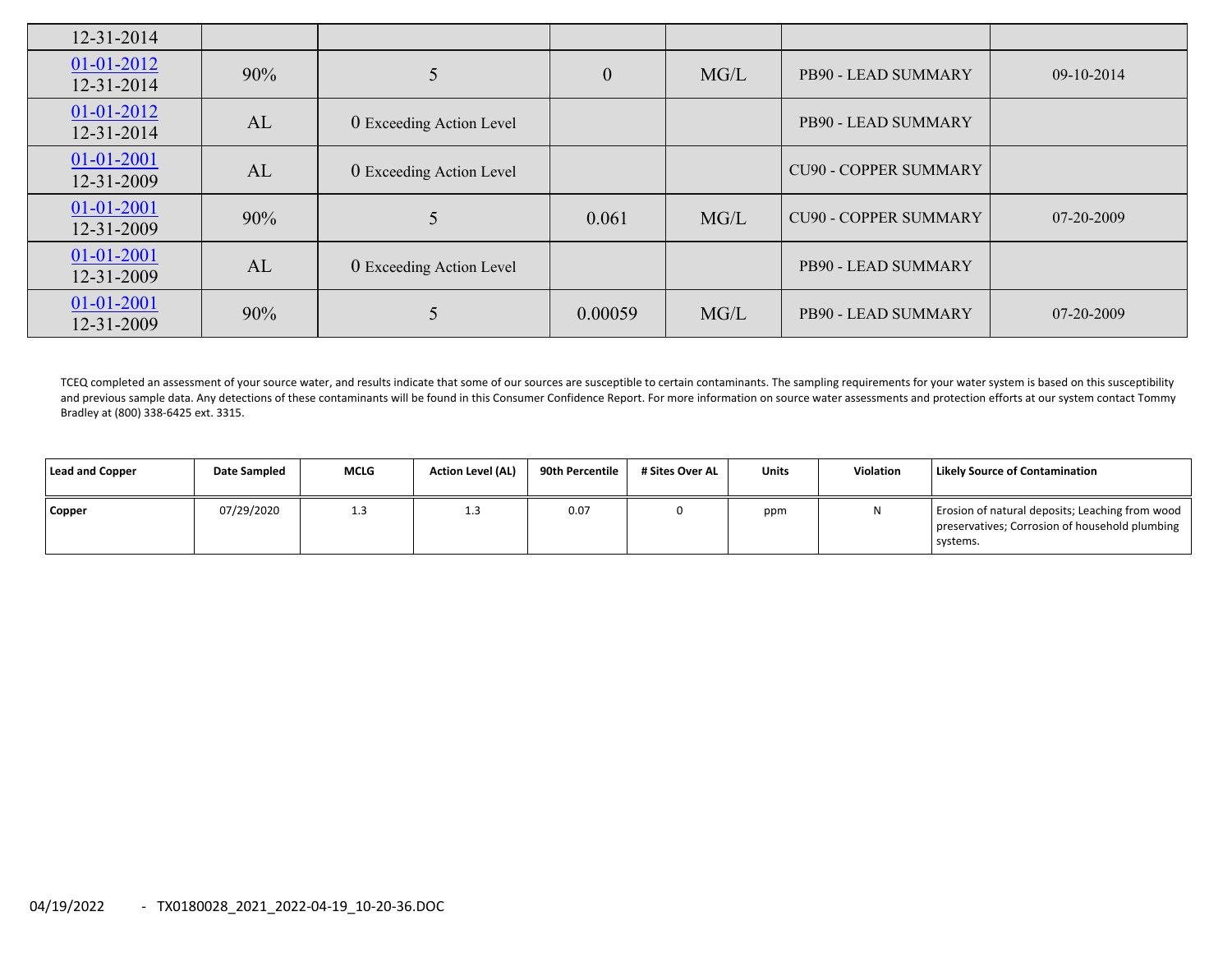| $12 - 31 - 2014$               |     |                          |                  |      |                              |            |
|--------------------------------|-----|--------------------------|------------------|------|------------------------------|------------|
| $01-01-2012$<br>12-31-2014     | 90% |                          | $\boldsymbol{0}$ | MG/L | PB90 - LEAD SUMMARY          | 09-10-2014 |
| $01-01-2012$<br>12-31-2014     | AL  | 0 Exceeding Action Level |                  |      | PB90 - LEAD SUMMARY          |            |
| 01-01-2001<br>12-31-2009       | AL  | 0 Exceeding Action Level |                  |      | <b>CU90 - COPPER SUMMARY</b> |            |
| $01 - 01 - 2001$<br>12-31-2009 | 90% |                          | 0.061            | MG/L | <b>CU90 - COPPER SUMMARY</b> | 07-20-2009 |
| $01 - 01 - 2001$<br>12-31-2009 | AL  | 0 Exceeding Action Level |                  |      | PB90 - LEAD SUMMARY          |            |
| $01 - 01 - 2001$<br>12-31-2009 | 90% |                          | 0.00059          | MG/L | PB90 - LEAD SUMMARY          | 07-20-2009 |

TCEQ completed an assessment of your source water, and results indicate that some of our sources are susceptible to certain contaminants. The sampling requirements for your water system is based on this susceptibility and previous sample data. Any detections of these contaminants will be found in this Consumer Confidence Report. For more information on source water assessments and protection efforts at our system contact Tommy Bradley at (800) 338‐6425 ext. 3315.

| <b>Lead and Copper</b> | <b>Date Sampled</b> | <b>MCLG</b> | <b>Action Level (AL)</b> | 90th Percentile | # Sites Over AL | <b>Units</b> | Violation | <b>Likely Source of Contamination</b>                                                                         |
|------------------------|---------------------|-------------|--------------------------|-----------------|-----------------|--------------|-----------|---------------------------------------------------------------------------------------------------------------|
| Copper                 | 07/29/2020          | 1.3         |                          | 0.07            |                 | ppm          |           | Erosion of natural deposits; Leaching from wood<br>preservatives; Corrosion of household plumbing<br>systems. |